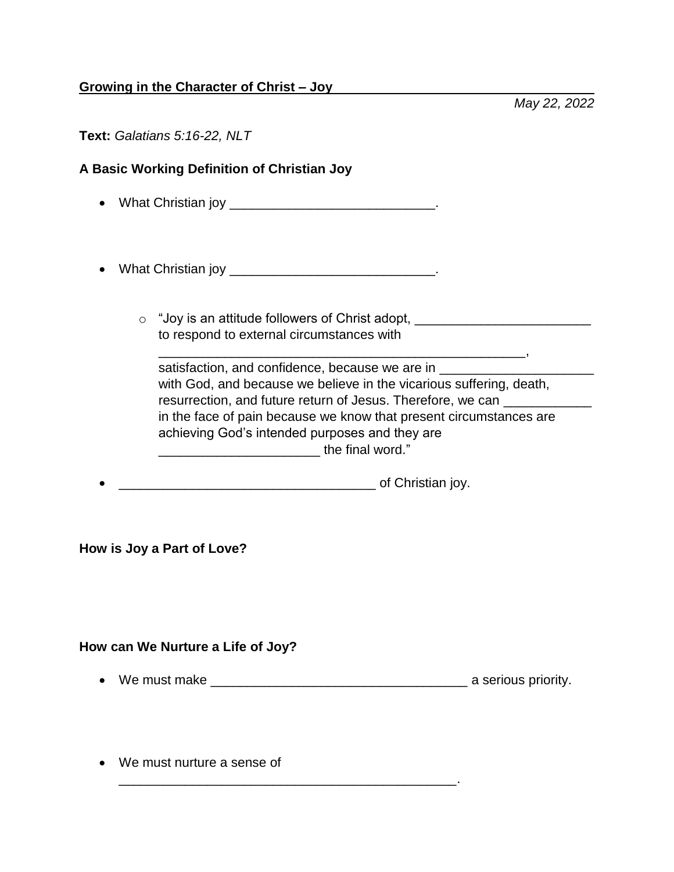## **Growing in the Character of Christ – Joy**

*May 22, 2022*

| Text: Galatians 5:16-22, NLT |  |
|------------------------------|--|
|------------------------------|--|

## **A Basic Working Definition of Christian Joy**

- What Christian joy \_\_\_\_\_\_\_\_\_\_\_\_\_\_\_\_\_\_\_\_\_\_\_\_\_\_\_\_.
- What Christian joy \_\_\_\_\_\_\_\_\_\_\_\_\_\_\_\_\_\_\_\_\_\_\_\_\_\_\_\_.
	- $\circ$  "Joy is an attitude followers of Christ adopt, \_\_\_\_\_\_\_\_\_\_\_\_\_\_\_\_\_\_\_\_\_\_\_\_\_\_\_\_ to respond to external circumstances with

\_\_\_\_\_\_\_\_\_\_\_\_\_\_\_\_\_\_\_\_\_\_\_\_\_\_\_\_\_\_\_\_\_\_\_\_\_\_\_\_\_\_\_\_\_\_\_\_\_\_,

| satisfaction, and confidence, because we are in                     |
|---------------------------------------------------------------------|
| with God, and because we believe in the vicarious suffering, death, |
| resurrection, and future return of Jesus. Therefore, we can         |
| in the face of pain because we know that present circumstances are  |
| achieving God's intended purposes and they are                      |
| the final word."                                                    |

\_\_\_\_\_\_\_\_\_\_\_\_\_\_\_\_\_\_\_\_\_\_\_\_\_\_\_\_\_\_\_\_\_\_\_ of Christian joy.

\_\_\_\_\_\_\_\_\_\_\_\_\_\_\_\_\_\_\_\_\_\_\_\_\_\_\_\_\_\_\_\_\_\_\_\_\_\_\_\_\_\_\_\_\_\_.

**How is Joy a Part of Love?**

**How can We Nurture a Life of Joy?**

- We must make \_\_\_\_\_\_\_\_\_\_\_\_\_\_\_\_\_\_\_\_\_\_\_\_\_\_\_\_\_\_\_\_\_\_\_ a serious priority.
- We must nurture a sense of